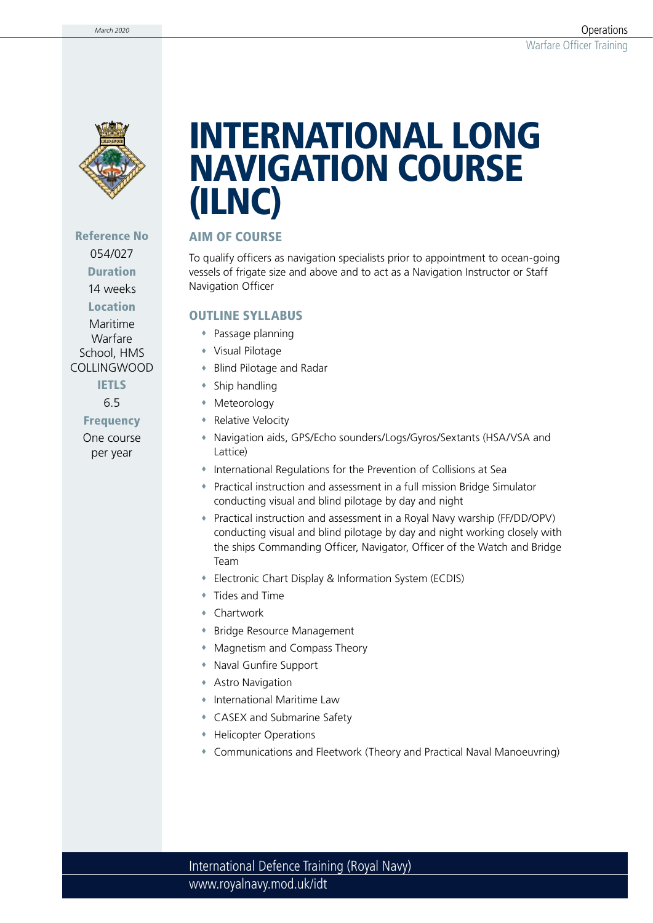

## Reference No 054/027 Duration

14 weeks

Location

Maritime Warfare School, HMS COLLINGWOOD

**IETLS** 

6.5

Frequency One course per year

# INTERNATIONAL LONG NAVIGATION COURSE (ILNC)

# AIM OF COURSE

To qualify officers as navigation specialists prior to appointment to ocean-going vessels of frigate size and above and to act as a Navigation Instructor or Staff Navigation Officer

#### OUTLINE SYLLABUS

- Passage planning
- Visual Pilotage
- Blind Pilotage and Radar
- Ship handling
- Meteorology
- **Relative Velocity**
- Navigation aids, GPS/Echo sounders/Logs/Gyros/Sextants (HSA/VSA and Lattice)
- International Regulations for the Prevention of Collisions at Sea
- Practical instruction and assessment in a full mission Bridge Simulator conducting visual and blind pilotage by day and night
- Practical instruction and assessment in a Royal Navy warship (FF/DD/OPV) conducting visual and blind pilotage by day and night working closely with the ships Commanding Officer, Navigator, Officer of the Watch and Bridge Team
- Electronic Chart Display & Information System (ECDIS)
- Tides and Time
- Chartwork
- Bridge Resource Management
- Magnetism and Compass Theory
- Naval Gunfire Support
- Astro Navigation
- International Maritime Law
- CASEX and Submarine Safety
- Helicopter Operations
- Communications and Fleetwork (Theory and Practical Naval Manoeuvring)